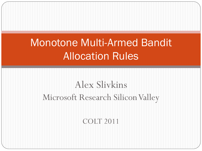# Monotone Multi-Armed Bandit Allocation Rules

# Alex Slivkins Microsoft Research Silicon Valley

#### COLT 2011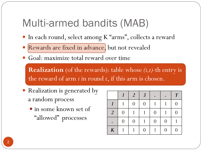# Multi-armed bandits (MAB)

- In each round, select among K "arms", collects a reward
- Rewards are fixed in advance, but not revealed
- Goal: maximize total reward over time

**Realization** (of the rewards): table whose *(i,t)*-th entry is the reward of arm *i* in round *t*, if this arm is chosen.

- Realization is generated by a random process
	- in some known set of "allowed" processes

|                  | 1              | $\overline{2}$ | $\overline{3}$ |                  |                | $\boldsymbol{T}$ |
|------------------|----------------|----------------|----------------|------------------|----------------|------------------|
| 1                | 1              | $\overline{0}$ | $\overline{0}$ |                  | 1              | 0                |
| $\overline{2}$   | $\overline{0}$ |                |                | $\overline{0}$   |                | 0                |
|                  | $\overline{0}$ | $\Omega$       |                | $\boldsymbol{0}$ | $\overline{0}$ |                  |
| $\boldsymbol{K}$ |                |                | $\Omega$       |                  | $\Omega$       | 0                |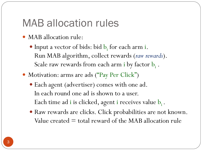#### MAB allocation rules

- MAB allocation rule:
	- $\bullet$  Input a vector of bids: bid  $b_i$  for each arm i. Run MAB algorithm, collect rewards (*raw rewards*). Scale raw rewards from each arm i by factor  $b_i$  .
- Motivation: arms are ads ("Pay Per Click")
	- Each agent (advertiser) comes with one ad. In each round one ad is shown to a user. Each time ad i is clicked, agent i receives value  $\mathbf{b}_\text{i}$ .
	- Raw rewards are clicks. Click probabilities are not known. Value created  $=$  total reward of the MAB allocation rule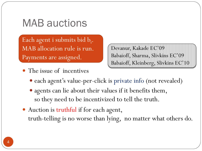### MAB auctions

Each agent i submits bid b<sub>i</sub>. MAB allocation rule is run. Payments are assigned.

Devanur, Kakade EC'09 Babaioff, Sharma, Slivkins EC'09 Babaioff, Kleinberg, Slivkins EC'10

- The issue of incentives
	- each agent's value-per-click is private info (not revealed)
	- agents can lie about their values if it benefits them, so they need to be incentivized to tell the truth.
- Auction is truthful if for each agent, truth-telling is no worse than lying, no matter what others do.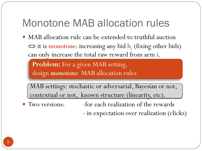# Monotone MAB allocation rules

• MAB allocation rule can be extended to truthful auction  $\Leftrightarrow$  it is monotone: increasing any bid  $b<sub>i</sub>$  (fixing other bids) can only increase the total raw reward from arm i.

**Problem:** For a given MAB setting, design *monotone* MAB allocation rules

MAB settings: stochastic or adversarial, Bayesian or not, contextual or not, known structure (linearity, etc).

- 
- Two versions:  $\qquad -$  for each realization of the rewards

- in expectation over realization (clicks)